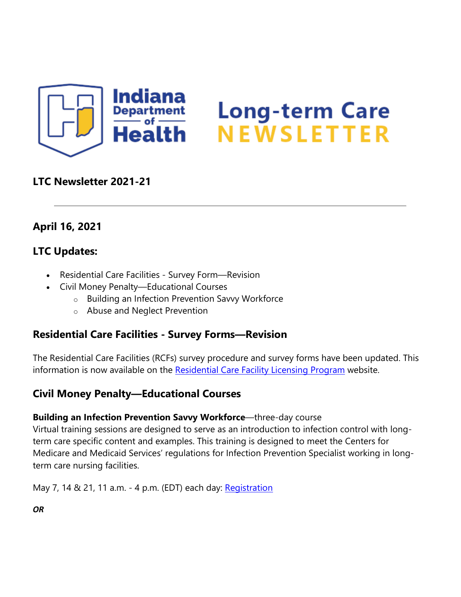

# Long-term Care<br>NEWSLETTER

### **LTC Newsletter 2021-21**

## **April 16, 2021**

## **LTC Updates:**

- Residential Care Facilities Survey Form—Revision
- Civil Money Penalty—Educational Courses
	- o Building an Infection Prevention Savvy Workforce
	- o Abuse and Neglect Prevention

## **Residential Care Facilities - Survey Forms—Revision**

The Residential Care Facilities (RCFs) survey procedure and survey forms have been updated. This information is now available on the [Residential Care Facility Licensing Program](https://lnks.gd/l/eyJhbGciOiJIUzI1NiJ9.eyJidWxsZXRpbl9saW5rX2lkIjoxMDAsInVyaSI6ImJwMjpjbGljayIsImJ1bGxldGluX2lkIjoiMjAyMTA0MTcuMzg5NTcxMjEiLCJ1cmwiOiJodHRwczovL3d3dy5pbi5nb3YvaXNkaC8yMDIyNy5odG0ifQ.aapvZ1GFr0wdakFgMDrln4CFWyVCezxEy67o3h5Jy10/s/1439130268/br/102608613963-l) website.

## **Civil Money Penalty—Educational Courses**

#### **Building an Infection Prevention Savvy Workforce**—three-day course

Virtual training sessions are designed to serve as an introduction to infection control with longterm care specific content and examples. This training is designed to meet the Centers for Medicare and Medicaid Services' regulations for Infection Prevention Specialist working in longterm care nursing facilities.

May 7, 14 & 21, 11 a.m. - 4 p.m. (EDT) each day: [Registration](https://lnks.gd/l/eyJhbGciOiJIUzI1NiJ9.eyJidWxsZXRpbl9saW5rX2lkIjoxMDEsInVyaSI6ImJwMjpjbGljayIsImJ1bGxldGluX2lkIjoiMjAyMTA0MTcuMzg5NTcxMjEiLCJ1cmwiOiJodHRwczovL3d3dy5ldmVudGJyaXRlLmNvbS9lL2J1aWxkaW5nLWFuLWluZmVjdGlvbi1wcmV2ZW50aW9uLXNhdnZ5LXdvcmtmb3JjZS1tYXktMjAyMS1yZWdpc3RyYXRpb24tMTQ5MTg0NDUxNzExIn0.3uHDhi74FRIW_e7qTSEHAFLPnsxBf1TfysFDiWs88Dc/s/1439130268/br/102608613963-l)

*OR*